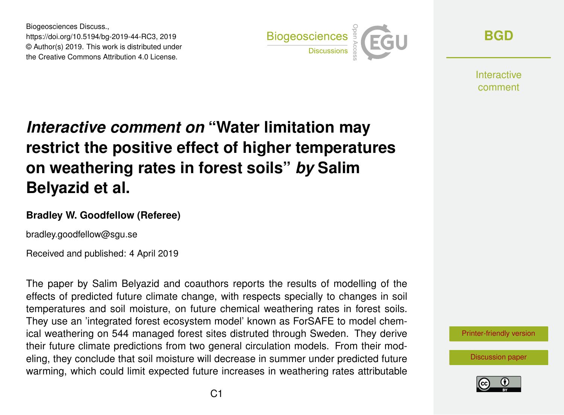Biogeosciences Discuss., https://doi.org/10.5194/bg-2019-44-RC3, 2019 © Author(s) 2019. This work is distributed under the Creative Commons Attribution 4.0 License.



**[BGD](https://www.biogeosciences-discuss.net/)**

**Interactive** comment

# *Interactive comment on* **"Water limitation may restrict the positive effect of higher temperatures on weathering rates in forest soils"** *by* **Salim Belyazid et al.**

#### **Bradley W. Goodfellow (Referee)**

bradley.goodfellow@sgu.se

Received and published: 4 April 2019

The paper by Salim Belyazid and coauthors reports the results of modelling of the effects of predicted future climate change, with respects specially to changes in soil temperatures and soil moisture, on future chemical weathering rates in forest soils. They use an 'integrated forest ecosystem model' known as ForSAFE to model chemical weathering on 544 managed forest sites distruted through Sweden. They derive their future climate predictions from two general circulation models. From their modeling, they conclude that soil moisture will decrease in summer under predicted future warming, which could limit expected future increases in weathering rates attributable



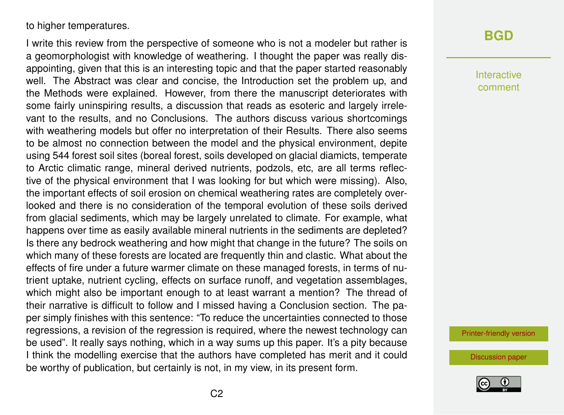to higher temperatures.

I write this review from the perspective of someone who is not a modeler but rather is a geomorphologist with knowledge of weathering. I thought the paper was really disappointing, given that this is an interesting topic and that the paper started reasonably well. The Abstract was clear and concise, the Introduction set the problem up, and the Methods were explained. However, from there the manuscript deteriorates with some fairly uninspiring results, a discussion that reads as esoteric and largely irrelevant to the results, and no Conclusions. The authors discuss various shortcomings with weathering models but offer no interpretation of their Results. There also seems to be almost no connection between the model and the physical environment, depite using 544 forest soil sites (boreal forest, soils developed on glacial diamicts, temperate to Arctic climatic range, mineral derived nutrients, podzols, etc, are all terms reflective of the physical environment that I was looking for but which were missing). Also, the important effects of soil erosion on chemical weathering rates are completely overlooked and there is no consideration of the temporal evolution of these soils derived from glacial sediments, which may be largely unrelated to climate. For example, what happens over time as easily available mineral nutrients in the sediments are depleted? Is there any bedrock weathering and how might that change in the future? The soils on which many of these forests are located are frequently thin and clastic. What about the effects of fire under a future warmer climate on these managed forests, in terms of nutrient uptake, nutrient cycling, effects on surface runoff, and vegetation assemblages, which might also be important enough to at least warrant a mention? The thread of their narrative is difficult to follow and I missed having a Conclusion section. The paper simply finishes with this sentence: "To reduce the uncertainties connected to those regressions, a revision of the regression is required, where the newest technology can be used". It really says nothing, which in a way sums up this paper. It's a pity because I think the modelling exercise that the authors have completed has merit and it could be worthy of publication, but certainly is not, in my view, in its present form.

## **[BGD](https://www.biogeosciences-discuss.net/)**

Interactive comment

[Printer-friendly version](https://www.biogeosciences-discuss.net/bg-2019-44/bg-2019-44-RC3-print.pdf)

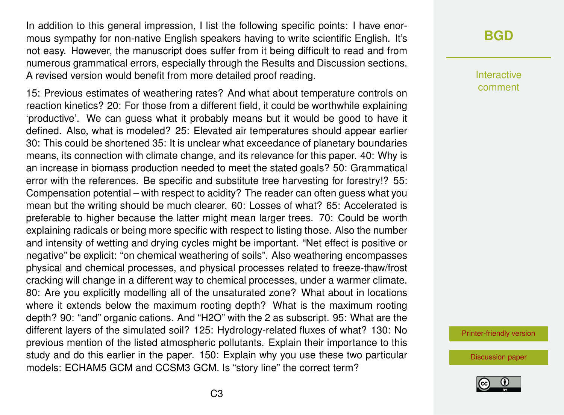In addition to this general impression, I list the following specific points: I have enormous sympathy for non-native English speakers having to write scientific English. It's not easy. However, the manuscript does suffer from it being difficult to read and from numerous grammatical errors, especially through the Results and Discussion sections. A revised version would benefit from more detailed proof reading.

15: Previous estimates of weathering rates? And what about temperature controls on reaction kinetics? 20: For those from a different field, it could be worthwhile explaining 'productive'. We can guess what it probably means but it would be good to have it defined. Also, what is modeled? 25: Elevated air temperatures should appear earlier 30: This could be shortened 35: It is unclear what exceedance of planetary boundaries means, its connection with climate change, and its relevance for this paper. 40: Why is an increase in biomass production needed to meet the stated goals? 50: Grammatical error with the references. Be specific and substitute tree harvesting for forestry!? 55: Compensation potential – with respect to acidity? The reader can often guess what you mean but the writing should be much clearer. 60: Losses of what? 65: Accelerated is preferable to higher because the latter might mean larger trees. 70: Could be worth explaining radicals or being more specific with respect to listing those. Also the number and intensity of wetting and drying cycles might be important. "Net effect is positive or negative" be explicit: "on chemical weathering of soils". Also weathering encompasses physical and chemical processes, and physical processes related to freeze-thaw/frost cracking will change in a different way to chemical processes, under a warmer climate. 80: Are you explicitly modelling all of the unsaturated zone? What about in locations where it extends below the maximum rooting depth? What is the maximum rooting depth? 90: "and" organic cations. And "H2O" with the 2 as subscript. 95: What are the different layers of the simulated soil? 125: Hydrology-related fluxes of what? 130: No previous mention of the listed atmospheric pollutants. Explain their importance to this study and do this earlier in the paper. 150: Explain why you use these two particular models: ECHAM5 GCM and CCSM3 GCM. Is "story line" the correct term?

**[BGD](https://www.biogeosciences-discuss.net/)**

Interactive comment

[Printer-friendly version](https://www.biogeosciences-discuss.net/bg-2019-44/bg-2019-44-RC3-print.pdf)

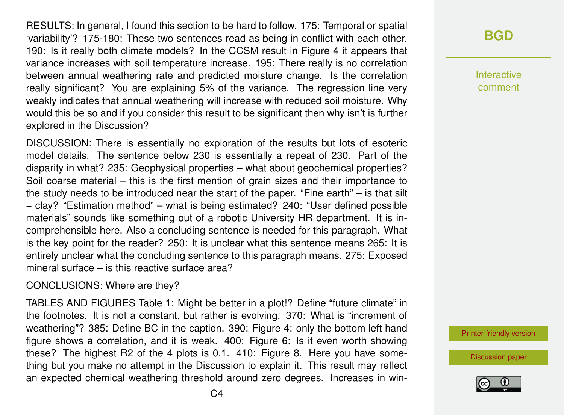RESULTS: In general, I found this section to be hard to follow. 175: Temporal or spatial 'variability'? 175-180: These two sentences read as being in conflict with each other. 190: Is it really both climate models? In the CCSM result in Figure 4 it appears that variance increases with soil temperature increase. 195: There really is no correlation between annual weathering rate and predicted moisture change. Is the correlation really significant? You are explaining 5% of the variance. The regression line very weakly indicates that annual weathering will increase with reduced soil moisture. Why would this be so and if you consider this result to be significant then why isn't is further explored in the Discussion?

DISCUSSION: There is essentially no exploration of the results but lots of esoteric model details. The sentence below 230 is essentially a repeat of 230. Part of the disparity in what? 235: Geophysical properties – what about geochemical properties? Soil coarse material – this is the first mention of grain sizes and their importance to the study needs to be introduced near the start of the paper. "Fine earth" – is that silt + clay? "Estimation method" – what is being estimated? 240: "User defined possible materials" sounds like something out of a robotic University HR department. It is incomprehensible here. Also a concluding sentence is needed for this paragraph. What is the key point for the reader? 250: It is unclear what this sentence means 265: It is entirely unclear what the concluding sentence to this paragraph means. 275: Exposed mineral surface – is this reactive surface area?

CONCLUSIONS: Where are they?

TABLES AND FIGURES Table 1: Might be better in a plot!? Define "future climate" in the footnotes. It is not a constant, but rather is evolving. 370: What is "increment of weathering"? 385: Define BC in the caption. 390: Figure 4: only the bottom left hand figure shows a correlation, and it is weak. 400: Figure 6: Is it even worth showing these? The highest R2 of the 4 plots is 0.1. 410: Figure 8. Here you have something but you make no attempt in the Discussion to explain it. This result may reflect an expected chemical weathering threshold around zero degrees. Increases in win-

## **[BGD](https://www.biogeosciences-discuss.net/)**

Interactive comment

[Printer-friendly version](https://www.biogeosciences-discuss.net/bg-2019-44/bg-2019-44-RC3-print.pdf)